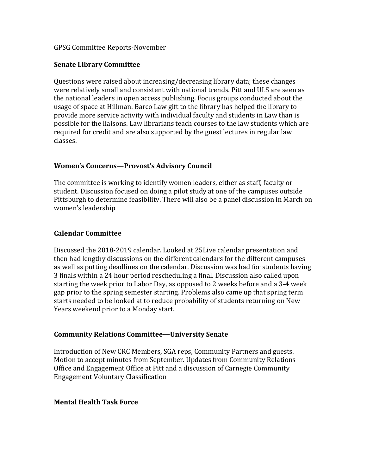### GPSG Committee Reports-November

## **Senate Library Committee**

Questions were raised about increasing/decreasing library data; these changes were relatively small and consistent with national trends. Pitt and ULS are seen as the national leaders in open access publishing. Focus groups conducted about the usage of space at Hillman. Barco Law gift to the library has helped the library to provide more service activity with individual faculty and students in Law than is possible for the liaisons. Law librarians teach courses to the law students which are required for credit and are also supported by the guest lectures in regular law classes.

# **Women's Concerns—Provost's Advisory Council**

The committee is working to identify women leaders, either as staff, faculty or student. Discussion focused on doing a pilot study at one of the campuses outside Pittsburgh to determine feasibility. There will also be a panel discussion in March on women's leadership

### **Calendar Committee**

Discussed the 2018-2019 calendar. Looked at 25Live calendar presentation and then had lengthy discussions on the different calendars for the different campuses as well as putting deadlines on the calendar. Discussion was had for students having 3 finals within a 24 hour period rescheduling a final. Discussion also called upon starting the week prior to Labor Day, as opposed to 2 weeks before and a 3-4 week gap prior to the spring semester starting. Problems also came up that spring term starts needed to be looked at to reduce probability of students returning on New Years weekend prior to a Monday start.

#### **Community Relations Committee—University Senate**

Introduction of New CRC Members, SGA reps, Community Partners and guests. Motion to accept minutes from September. Updates from Community Relations Office and Engagement Office at Pitt and a discussion of Carnegie Community Engagement Voluntary Classification

#### **Mental Health Task Force**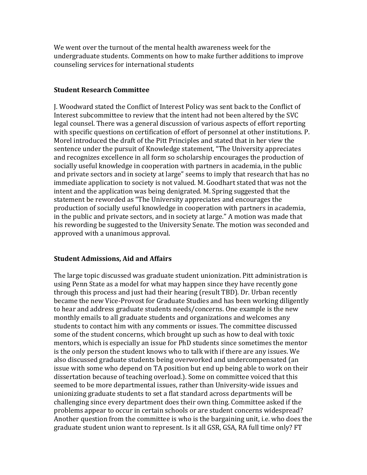We went over the turnout of the mental health awareness week for the undergraduate students. Comments on how to make further additions to improve counseling services for international students

### **Student Research Committee**

J. Woodward stated the Conflict of Interest Policy was sent back to the Conflict of Interest subcommittee to review that the intent had not been altered by the SVC legal counsel. There was a general discussion of various aspects of effort reporting with specific questions on certification of effort of personnel at other institutions. P. Morel introduced the draft of the Pitt Principles and stated that in her view the sentence under the pursuit of Knowledge statement, "The University appreciates and recognizes excellence in all form so scholarship encourages the production of socially useful knowledge in cooperation with partners in academia, in the public and private sectors and in society at large" seems to imply that research that has no immediate application to society is not valued. M. Goodhart stated that was not the intent and the application was being denigrated. M. Spring suggested that the statement be reworded as "The University appreciates and encourages the production of socially useful knowledge in cooperation with partners in academia, in the public and private sectors, and in society at large." A motion was made that his rewording be suggested to the University Senate. The motion was seconded and approved with a unanimous approval.

# **Student Admissions, Aid and Affairs**

The large topic discussed was graduate student unionization. Pitt administration is using Penn State as a model for what may happen since they have recently gone through this process and just had their hearing (result TBD). Dr. Urban recently became the new Vice-Provost for Graduate Studies and has been working diligently to hear and address graduate students needs/concerns. One example is the new monthly emails to all graduate students and organizations and welcomes any students to contact him with any comments or issues. The committee discussed some of the student concerns, which brought up such as how to deal with toxic mentors, which is especially an issue for PhD students since sometimes the mentor is the only person the student knows who to talk with if there are any issues. We also discussed graduate students being overworked and undercompensated (an issue with some who depend on TA position but end up being able to work on their dissertation because of teaching overload.). Some on committee voiced that this seemed to be more departmental issues, rather than University-wide issues and unionizing graduate students to set a flat standard across departments will be challenging since every department does their own thing. Committee asked if the problems appear to occur in certain schools or are student concerns widespread? Another question from the committee is who is the bargaining unit, i.e. who does the graduate student union want to represent. Is it all GSR, GSA, RA full time only? FT